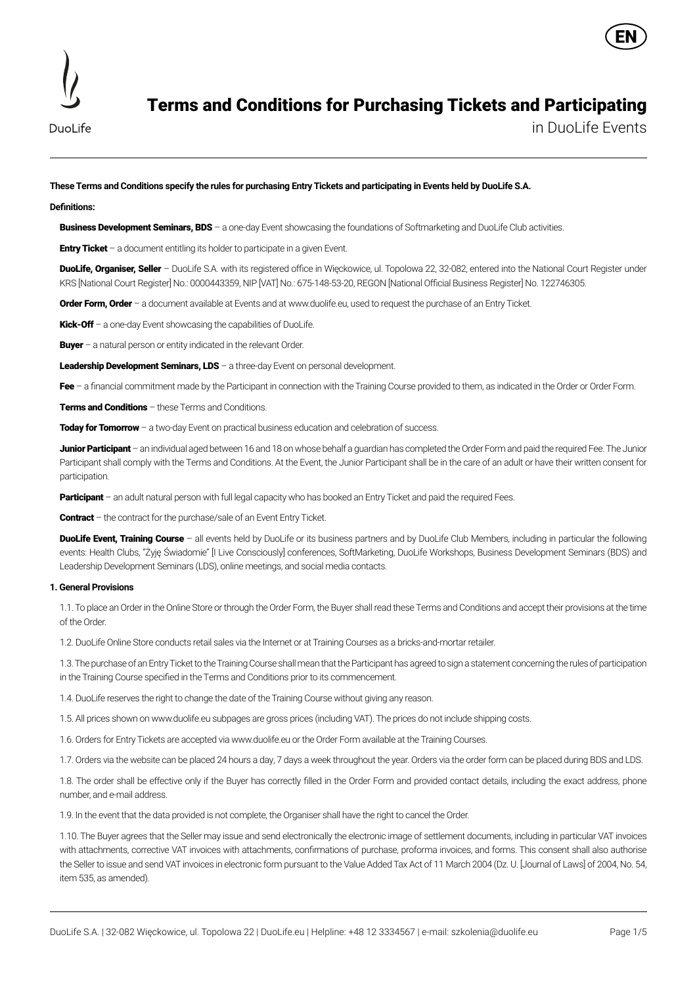

## Terms and Conditions for Purchasing Tickets and Participating

in DuoLife Events

#### **These Terms and Conditions specify the rules for purchasing Entry Tickets and participating in Events held by DuoLife S.A.**

#### **Definitions:**

Business Development Seminars, BDS - a one-day Event showcasing the foundations of Softmarketing and DuoLife Club activities.

**Entry Ticket** – a document entitling its holder to participate in a given Event.

DuoLife, Organiser, Seller - DuoLife S.A. with its registered office in Więckowice, ul. Topolowa 22, 32-082, entered into the National Court Register under KRS [National Court Register] No.: 0000443359, NIP [VAT] No.: 675-148-53-20, REGON [National Official Business Register] No. 122746305.

Order Form, Order - a document available at Events and at www.duolife.eu, used to request the purchase of an Entry Ticket.

Kick-Off - a one-day Event showcasing the capabilities of DuoLife.

**Buyer** – a natural person or entity indicated in the relevant Order.

Leadership Development Seminars, LDS - a three-day Event on personal development.

Fee - a financial commitment made by the Participant in connection with the Training Course provided to them, as indicated in the Order or Order Form.

**Terms and Conditions** – these Terms and Conditions.

Today for Tomorrow - a two-day Event on practical business education and celebration of success.

Junior Participant – an individual aged between 16 and 18 on whose behalf a guardian has completed the Order Form and paid the required Fee. The Junior Participant shall comply with the Terms and Conditions. At the Event, the Junior Participant shall be in the care of an adult or have their written consent for participation.

Participant - an adult natural person with full legal capacity who has booked an Entry Ticket and paid the required Fees.

Contract – the contract for the purchase/sale of an Event Entry Ticket.

**DuoLife Event, Training Course** – all events held by DuoLife or its business partners and by DuoLife Club Members, including in particular the following events: Health Clubs, "Żyję Świadomie" [I Live Consciously] conferences, SoftMarketing, DuoLife Workshops, Business Development Seminars (BDS) and Leadership Development Seminars (LDS), online meetings, and social media contacts.

#### **1. General Provisions**

1.1. To place an Order in the Online Store or through the Order Form, the Buyer shall read these Terms and Conditions and accept their provisions at the time of the Order.

1.2. DuoLife Online Store conducts retail sales via the Internet or at Training Courses as a bricks-and-mortar retailer.

1.3. The purchase of an Entry Ticket to the Training Course shall mean that the Participant has agreed to sign a statement concerning the rules of participation in the Training Course specified in the Terms and Conditions prior to its commencement.

1.4. DuoLife reserves the right to change the date of the Training Course without giving any reason.

1.5. All prices shown on www.duolife.eu subpages are gross prices (including VAT). The prices do not include shipping costs.

1.6. Orders for Entry Tickets are accepted via www.duolife.eu or the Order Form available at the Training Courses.

1.7. Orders via the website can be placed 24 hours a day, 7 days a week throughout the year. Orders via the order form can be placed during BDS and LDS.

1.8. The order shall be effective only if the Buyer has correctly filled in the Order Form and provided contact details, including the exact address, phone number, and e-mail address.

1.9. In the event that the data provided is not complete, the Organiser shall have the right to cancel the Order.

1.10. The Buyer agrees that the Seller may issue and send electronically the electronic image of settlement documents, including in particular VAT invoices with attachments, corrective VAT invoices with attachments, confirmations of purchase, proforma invoices, and forms. This consent shall also authorise the Seller to issue and send VAT invoices in electronic form pursuant to the Value Added Tax Act of 11 March 2004 (Dz. U. [Journal of Laws] of 2004, No. 54, item 535, as amended).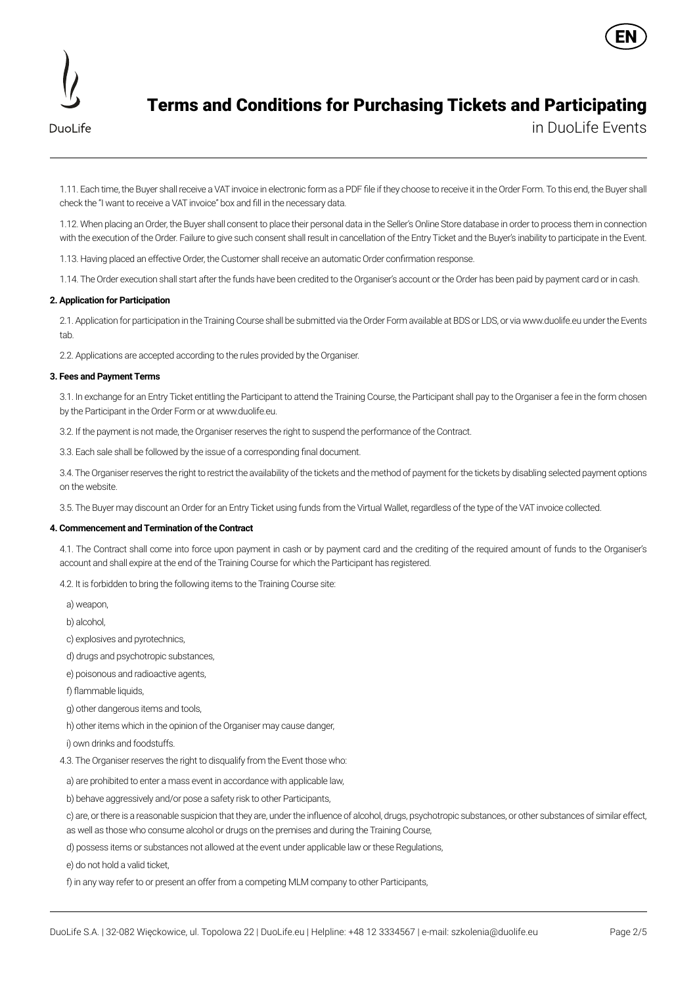

DuoLife

in DuoLife Events

1.11. Each time, the Buyer shall receive a VAT invoice in electronic form as a PDF file if they choose to receive it in the Order Form. To this end, the Buyer shall check the "I want to receive a VAT invoice" box and fill in the necessary data.

1.12. When placing an Order, the Buyer shall consent to place their personal data in the Seller's Online Store database in order to process them in connection with the execution of the Order. Failure to give such consent shall result in cancellation of the Entry Ticket and the Buyer's inability to participate in the Event.

1.13. Having placed an effective Order, the Customer shall receive an automatic Order confirmation response.

1.14. The Order execution shall start after the funds have been credited to the Organiser's account or the Order has been paid by payment card or in cash.

#### **2. Application for Participation**

2.1. Application for participation in the Training Course shall be submitted via the Order Form available at BDS or LDS, or via www.duolife.eu under the Events tab.

2.2. Applications are accepted according to the rules provided by the Organiser.

#### **3. Fees and Payment Terms**

3.1. In exchange for an Entry Ticket entitling the Participant to attend the Training Course, the Participant shall pay to the Organiser a fee in the form chosen by the Participant in the Order Form or at www.duolife.eu.

3.2. If the payment is not made, the Organiser reserves the right to suspend the performance of the Contract.

3.3. Each sale shall be followed by the issue of a corresponding final document.

3.4. The Organiser reserves the right to restrict the availability of the tickets and the method of payment for the tickets by disabling selected payment options on the website.

3.5. The Buyer may discount an Order for an Entry Ticket using funds from the Virtual Wallet, regardless of the type of the VAT invoice collected.

#### **4. Commencement and Termination of the Contract**

4.1. The Contract shall come into force upon payment in cash or by payment card and the crediting of the required amount of funds to the Organiser's account and shall expire at the end of the Training Course for which the Participant has registered.

4.2. It is forbidden to bring the following items to the Training Course site:

a) weapon,

b) alcohol,

c) explosives and pyrotechnics,

d) drugs and psychotropic substances,

e) poisonous and radioactive agents,

f) flammable liquids,

g) other dangerous items and tools,

h) other items which in the opinion of the Organiser may cause danger,

i) own drinks and foodstuffs.

4.3. The Organiser reserves the right to disqualify from the Event those who:

a) are prohibited to enter a mass event in accordance with applicable law,

b) behave aggressively and/or pose a safety risk to other Participants,

c) are, or there is a reasonable suspicion that they are, under the influence of alcohol, drugs, psychotropic substances, or other substances of similar effect, as well as those who consume alcohol or drugs on the premises and during the Training Course,

d) possess items or substances not allowed at the event under applicable law or these Regulations,

e) do not hold a valid ticket,

f) in any way refer to or present an offer from a competing MLM company to other Participants,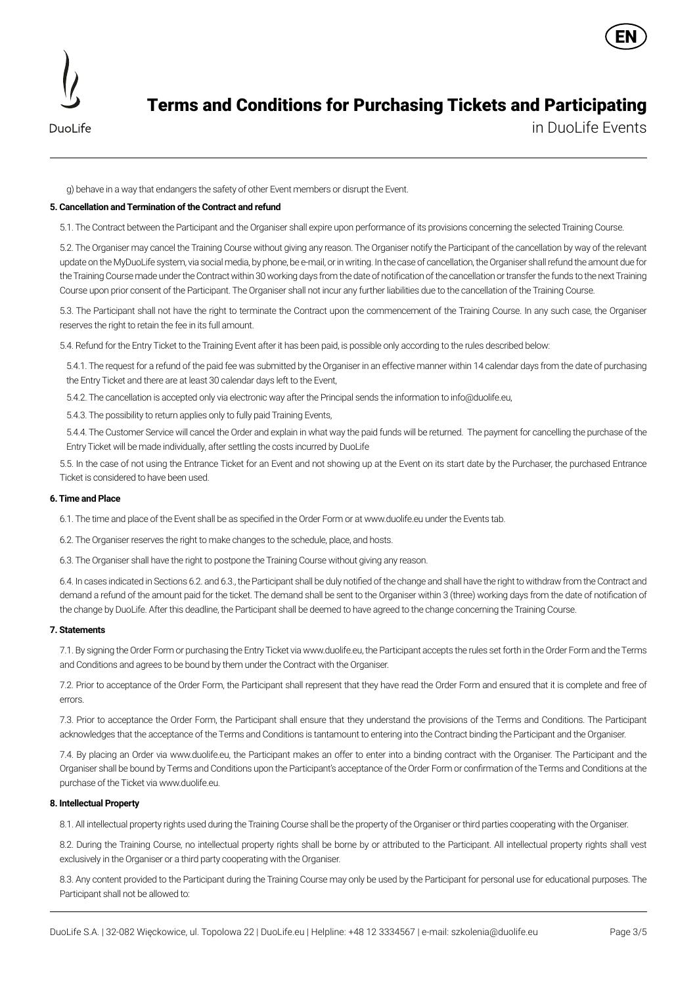

## Terms and Conditions for Purchasing Tickets and Participating

g) behave in a way that endangers the safety of other Event members or disrupt the Event.

#### **5. Cancellation and Termination of the Contract and refund**

5.1. The Contract between the Participant and the Organiser shall expire upon performance of its provisions concerning the selected Training Course.

5.2. The Organiser may cancel the Training Course without giving any reason. The Organiser notify the Participant of the cancellation by way of the relevant update on the MyDuoLife system, via social media, by phone, be e-mail, or in writing. In the case of cancellation, the Organiser shall refund the amount due for the Training Course made under the Contract within 30 working days from the date of notification of the cancellation or transfer the funds to the next Training Course upon prior consent of the Participant. The Organiser shall not incur any further liabilities due to the cancellation of the Training Course.

5.3. The Participant shall not have the right to terminate the Contract upon the commencement of the Training Course. In any such case, the Organiser reserves the right to retain the fee in its full amount.

5.4. Refund for the Entry Ticket to the Training Event after it has been paid, is possible only according to the rules described below:

5.4.1. The request for a refund of the paid fee was submitted by the Organiser in an effective manner within 14 calendar days from the date of purchasing the Entry Ticket and there are at least 30 calendar days left to the Event,

5.4.2. The cancellation is accepted only via electronic way after the Principal sends the information to info@duolife.eu,

5.4.3. The possibility to return applies only to fully paid Training Events,

5.4.4. The Customer Service will cancel the Order and explain in what way the paid funds will be returned. The payment for cancelling the purchase of the Entry Ticket will be made individually, after settling the costs incurred by DuoLife

5.5. In the case of not using the Entrance Ticket for an Event and not showing up at the Event on its start date by the Purchaser, the purchased Entrance Ticket is considered to have been used.

#### **6. Time and Place**

6.1. The time and place of the Event shall be as specified in the Order Form or at www.duolife.eu under the Events tab.

6.2. The Organiser reserves the right to make changes to the schedule, place, and hosts.

6.3. The Organiser shall have the right to postpone the Training Course without giving any reason.

6.4. In cases indicated in Sections 6.2. and 6.3., the Participant shall be duly notified of the change and shall have the right to withdraw from the Contract and demand a refund of the amount paid for the ticket. The demand shall be sent to the Organiser within 3 (three) working days from the date of notification of the change by DuoLife. After this deadline, the Participant shall be deemed to have agreed to the change concerning the Training Course.

#### **7. Statements**

7.1. By signing the Order Form or purchasing the Entry Ticket via www.duolife.eu, the Participant accepts the rules set forth in the Order Form and the Terms and Conditions and agrees to be bound by them under the Contract with the Organiser.

7.2. Prior to acceptance of the Order Form, the Participant shall represent that they have read the Order Form and ensured that it is complete and free of errors.

7.3. Prior to acceptance the Order Form, the Participant shall ensure that they understand the provisions of the Terms and Conditions. The Participant acknowledges that the acceptance of the Terms and Conditions is tantamount to entering into the Contract binding the Participant and the Organiser.

7.4. By placing an Order via www.duolife.eu, the Participant makes an offer to enter into a binding contract with the Organiser. The Participant and the Organiser shall be bound by Terms and Conditions upon the Participant's acceptance of the Order Form or confirmation of the Terms and Conditions at the purchase of the Ticket via www.duolife.eu.

#### **8. Intellectual Property**

8.1. All intellectual property rights used during the Training Course shall be the property of the Organiser or third parties cooperating with the Organiser.

8.2. During the Training Course, no intellectual property rights shall be borne by or attributed to the Participant. All intellectual property rights shall vest exclusively in the Organiser or a third party cooperating with the Organiser.

8.3. Any content provided to the Participant during the Training Course may only be used by the Participant for personal use for educational purposes. The Participant shall not be allowed to: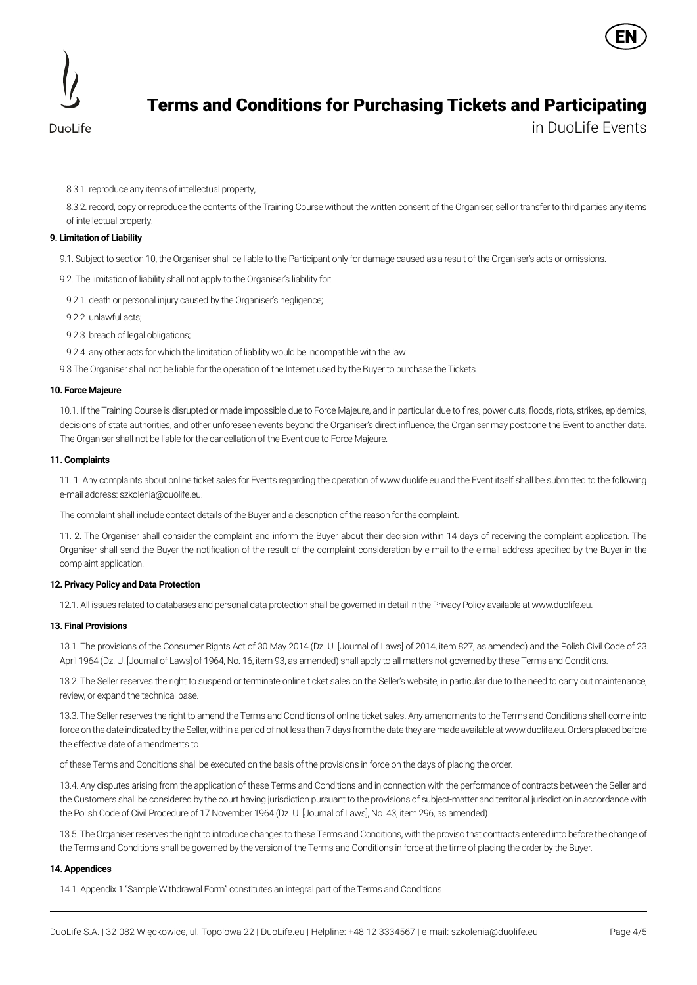

DuoLife

8.3.1. reproduce any items of intellectual property,

8.3.2. record, copy or reproduce the contents of the Training Course without the written consent of the Organiser, sell or transfer to third parties any items of intellectual property.

#### **9. Limitation of Liability**

9.1. Subject to section 10, the Organiser shall be liable to the Participant only for damage caused as a result of the Organiser's acts or omissions.

9.2. The limitation of liability shall not apply to the Organiser's liability for:

9.2.1. death or personal injury caused by the Organiser's negligence;

9.2.2. unlawful acts;

9.2.3. breach of legal obligations;

9.2.4. any other acts for which the limitation of liability would be incompatible with the law.

9.3 The Organiser shall not be liable for the operation of the Internet used by the Buyer to purchase the Tickets.

#### **10. Force Majeure**

10.1. If the Training Course is disrupted or made impossible due to Force Majeure, and in particular due to fires, power cuts, floods, riots, strikes, epidemics, decisions of state authorities, and other unforeseen events beyond the Organiser's direct influence, the Organiser may postpone the Event to another date. The Organiser shall not be liable for the cancellation of the Event due to Force Majeure.

#### **11. Complaints**

11. 1. Any complaints about online ticket sales for Events regarding the operation of www.duolife.eu and the Event itself shall be submitted to the following e-mail address: szkolenia@duolife.eu.

The complaint shall include contact details of the Buyer and a description of the reason for the complaint.

11. 2. The Organiser shall consider the complaint and inform the Buyer about their decision within 14 days of receiving the complaint application. The Organiser shall send the Buyer the notification of the result of the complaint consideration by e-mail to the e-mail address specified by the Buyer in the complaint application.

#### **12. Privacy Policy and Data Protection**

12.1. All issues related to databases and personal data protection shall be governed in detail in the Privacy Policy available at www.duolife.eu.

#### **13. Final Provisions**

13.1. The provisions of the Consumer Rights Act of 30 May 2014 (Dz. U. [Journal of Laws] of 2014, item 827, as amended) and the Polish Civil Code of 23 April 1964 (Dz. U. [Journal of Laws] of 1964, No. 16, item 93, as amended) shall apply to all matters not governed by these Terms and Conditions.

13.2. The Seller reserves the right to suspend or terminate online ticket sales on the Seller's website, in particular due to the need to carry out maintenance, review, or expand the technical base.

13.3. The Seller reserves the right to amend the Terms and Conditions of online ticket sales. Any amendments to the Terms and Conditions shall come into force on the date indicated by the Seller, within a period of not less than 7 days from the date they are made available at www.duolife.eu. Orders placed before the effective date of amendments to

of these Terms and Conditions shall be executed on the basis of the provisions in force on the days of placing the order.

13.4. Any disputes arising from the application of these Terms and Conditions and in connection with the performance of contracts between the Seller and the Customers shall be considered by the court having jurisdiction pursuant to the provisions of subject-matter and territorial jurisdiction in accordance with the Polish Code of Civil Procedure of 17 November 1964 (Dz. U. [Journal of Laws], No. 43, item 296, as amended).

13.5. The Organiser reserves the right to introduce changes to these Terms and Conditions, with the proviso that contracts entered into before the change of the Terms and Conditions shall be governed by the version of the Terms and Conditions in force at the time of placing the order by the Buyer.

#### **14. Appendices**

14.1. Appendix 1 "Sample Withdrawal Form" constitutes an integral part of the Terms and Conditions.